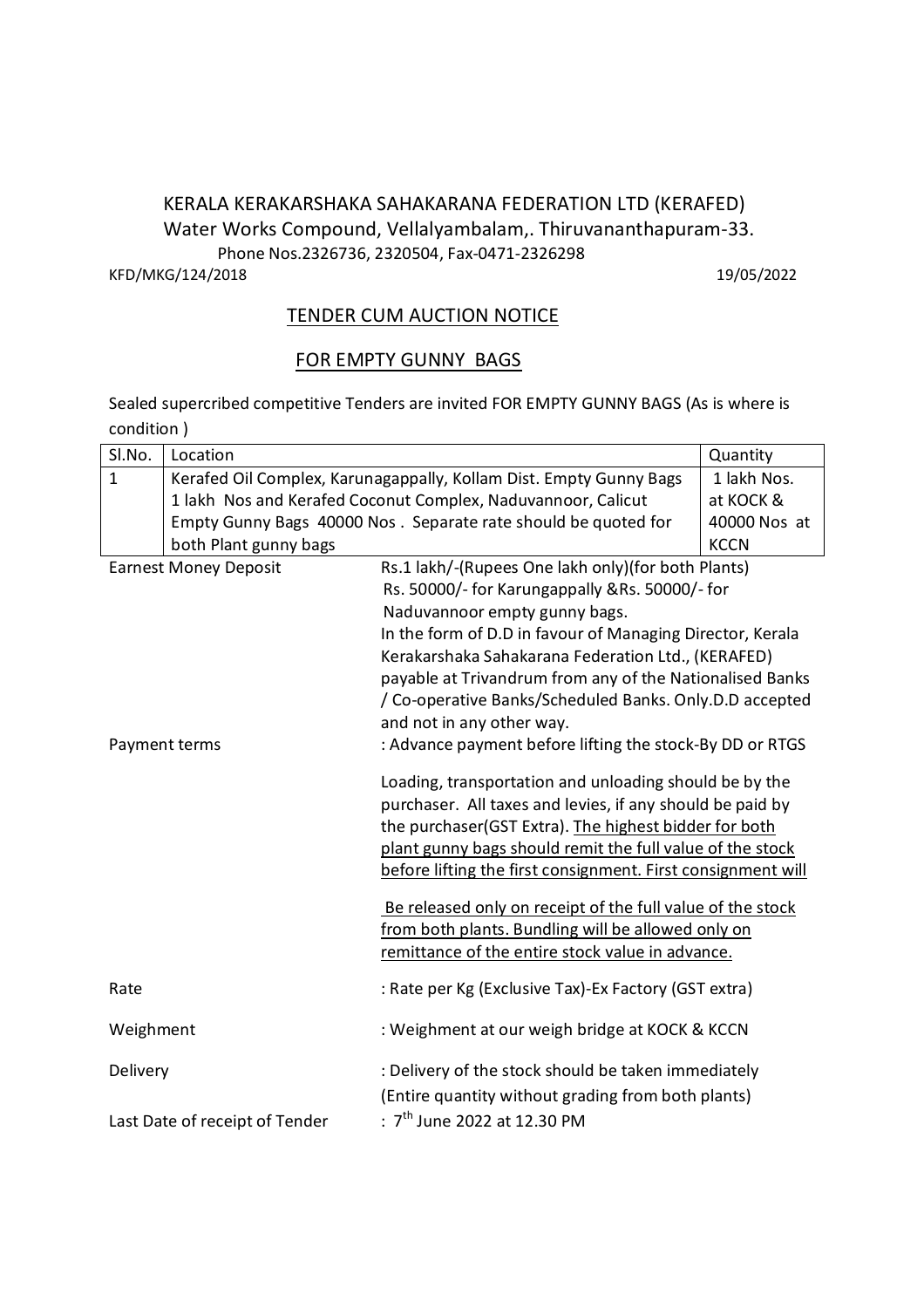## KERALA KERAKARSHAKA SAHAKARANA FEDERATION LTD (KERAFED) Water Works Compound, Vellalyambalam,. Thiruvananthapuram-33. Phone Nos.2326736, 2320504, Fax-0471-2326298 KFD/MKG/124/2018 19/05/2022

## TENDER CUM AUCTION NOTICE

#### FOR EMPTY GUNNY BAGS

Sealed supercribed competitive Tenders are invited FOR EMPTY GUNNY BAGS (As is where is condition )

| SI.No.                         | Location                                                           |                                                                                                                  | Quantity     |
|--------------------------------|--------------------------------------------------------------------|------------------------------------------------------------------------------------------------------------------|--------------|
| $\mathbf{1}$                   | Kerafed Oil Complex, Karunagappally, Kollam Dist. Empty Gunny Bags |                                                                                                                  | 1 lakh Nos.  |
|                                | 1 lakh Nos and Kerafed Coconut Complex, Naduvannoor, Calicut       |                                                                                                                  | at KOCK &    |
|                                | Empty Gunny Bags 40000 Nos. Separate rate should be quoted for     |                                                                                                                  | 40000 Nos at |
|                                | both Plant gunny bags                                              |                                                                                                                  | <b>KCCN</b>  |
| <b>Earnest Money Deposit</b>   |                                                                    | Rs.1 lakh/-(Rupees One lakh only)(for both Plants)                                                               |              |
|                                |                                                                    | Rs. 50000/- for Karungappally &Rs. 50000/- for                                                                   |              |
|                                |                                                                    | Naduvannoor empty gunny bags.                                                                                    |              |
|                                |                                                                    | In the form of D.D in favour of Managing Director, Kerala                                                        |              |
|                                |                                                                    | Kerakarshaka Sahakarana Federation Ltd., (KERAFED)                                                               |              |
|                                |                                                                    | payable at Trivandrum from any of the Nationalised Banks                                                         |              |
|                                |                                                                    | / Co-operative Banks/Scheduled Banks. Only.D.D accepted                                                          |              |
|                                |                                                                    | and not in any other way.<br>: Advance payment before lifting the stock-By DD or RTGS                            |              |
| Payment terms                  |                                                                    |                                                                                                                  |              |
|                                |                                                                    | Loading, transportation and unloading should be by the                                                           |              |
|                                |                                                                    | purchaser. All taxes and levies, if any should be paid by                                                        |              |
|                                |                                                                    | the purchaser(GST Extra). The highest bidder for both                                                            |              |
|                                |                                                                    | plant gunny bags should remit the full value of the stock                                                        |              |
|                                |                                                                    | before lifting the first consignment. First consignment will                                                     |              |
|                                |                                                                    |                                                                                                                  |              |
|                                |                                                                    | Be released only on receipt of the full value of the stock<br>from both plants. Bundling will be allowed only on |              |
|                                |                                                                    | remittance of the entire stock value in advance.                                                                 |              |
|                                |                                                                    |                                                                                                                  |              |
| Rate                           |                                                                    | : Rate per Kg (Exclusive Tax)-Ex Factory (GST extra)                                                             |              |
| Weighment                      |                                                                    | : Weighment at our weigh bridge at KOCK & KCCN                                                                   |              |
| Delivery                       |                                                                    | : Delivery of the stock should be taken immediately                                                              |              |
|                                |                                                                    | (Entire quantity without grading from both plants)                                                               |              |
| Last Date of receipt of Tender |                                                                    | : $7^{\text{th}}$ June 2022 at 12.30 PM                                                                          |              |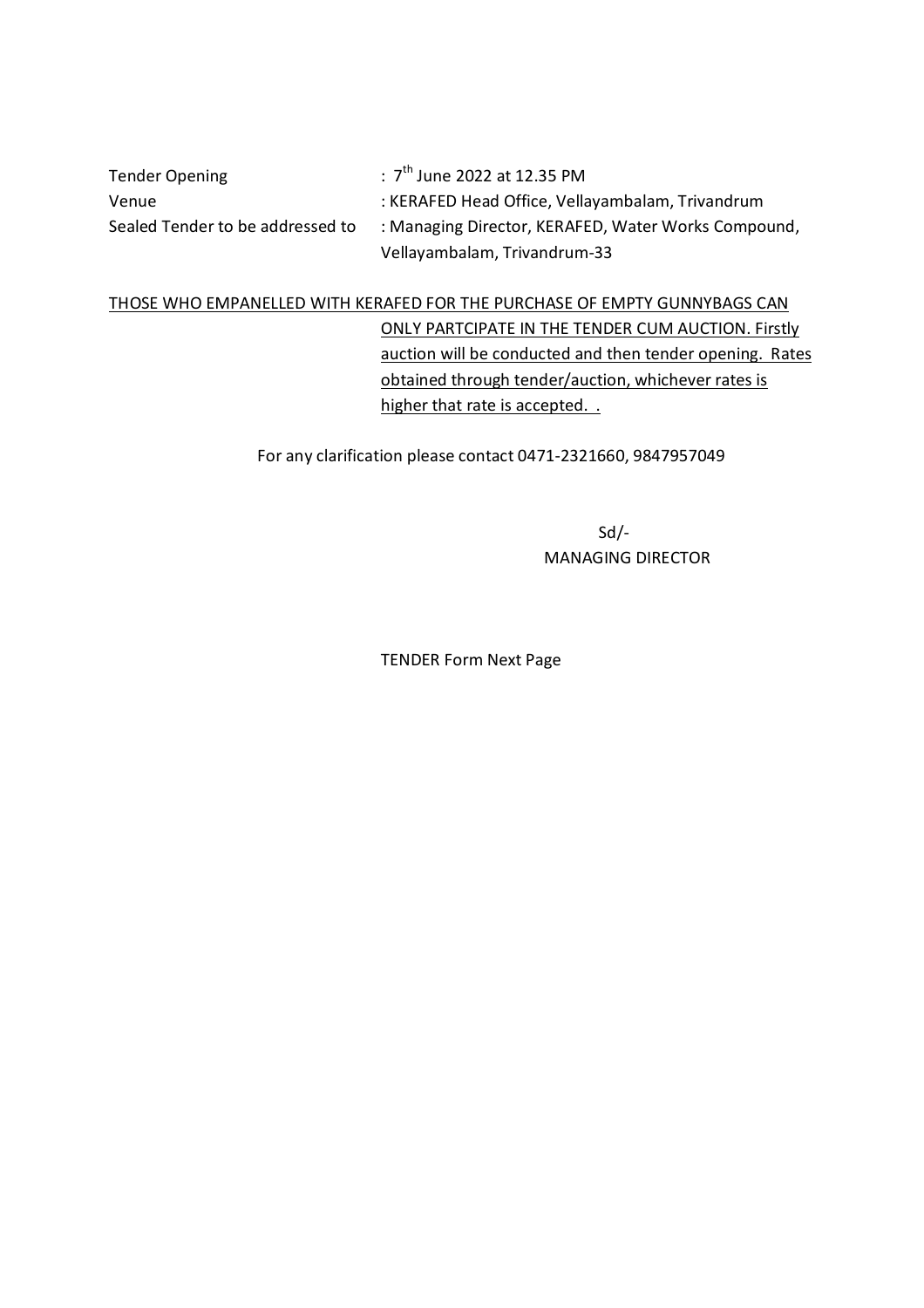Tender Opening :  $7^{\text{th}}$  June 2022 at 12.35 PM Venue : KERAFED Head Office, Vellayambalam, Trivandrum Sealed Tender to be addressed to : Managing Director, KERAFED, Water Works Compound, Vellayambalam, Trivandrum-33

# THOSE WHO EMPANELLED WITH KERAFED FOR THE PURCHASE OF EMPTY GUNNYBAGS CAN ONLY PARTCIPATE IN THE TENDER CUM AUCTION. Firstly auction will be conducted and then tender opening. Rates obtained through tender/auction, whichever rates is higher that rate is accepted. .

For any clarification please contact 0471-2321660, 9847957049

Sd/- MANAGING DIRECTOR

TENDER Form Next Page